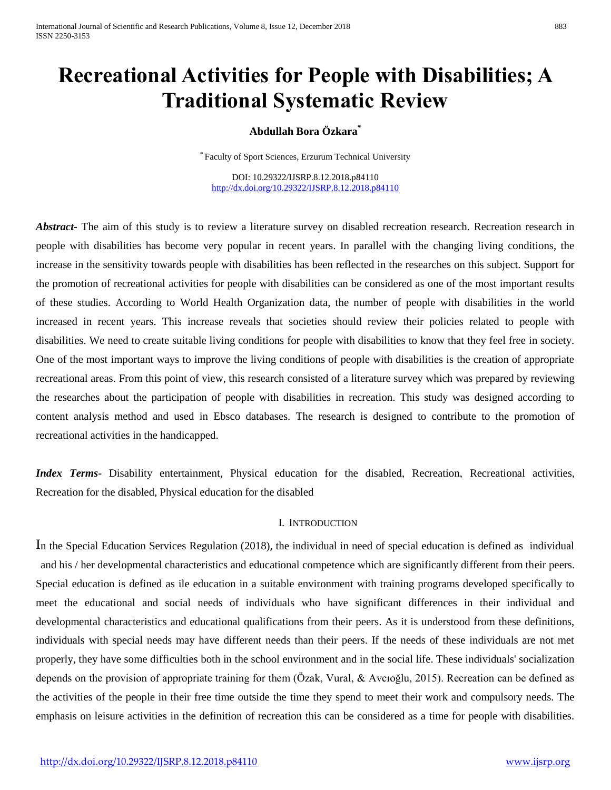# **Recreational Activities for People with Disabilities; A Traditional Systematic Review**

## **Abdullah Bora Özkara\***

\* Faculty of Sport Sciences, Erzurum Technical University

DOI: 10.29322/IJSRP.8.12.2018.p84110 <http://dx.doi.org/10.29322/IJSRP.8.12.2018.p84110>

*Abstract***-** The aim of this study is to review a literature survey on disabled recreation research. Recreation research in people with disabilities has become very popular in recent years. In parallel with the changing living conditions, the increase in the sensitivity towards people with disabilities has been reflected in the researches on this subject. Support for the promotion of recreational activities for people with disabilities can be considered as one of the most important results of these studies. According to World Health Organization data, the number of people with disabilities in the world increased in recent years. This increase reveals that societies should review their policies related to people with disabilities. We need to create suitable living conditions for people with disabilities to know that they feel free in society. One of the most important ways to improve the living conditions of people with disabilities is the creation of appropriate recreational areas. From this point of view, this research consisted of a literature survey which was prepared by reviewing the researches about the participation of people with disabilities in recreation. This study was designed according to content analysis method and used in Ebsco databases. The research is designed to contribute to the promotion of recreational activities in the handicapped.

*Index Terms*- Disability entertainment, Physical education for the disabled, Recreation, Recreational activities, Recreation for the disabled, Physical education for the disabled

#### I. INTRODUCTION

In the Special Education Services Regulation (2018), the individual in need of special education is defined as individual and his / her developmental characteristics and educational competence which are significantly different from their peers. Special education is defined as ile education in a suitable environment with training programs developed specifically to meet the educational and social needs of individuals who have significant differences in their individual and developmental characteristics and educational qualifications from their peers. As it is understood from these definitions, individuals with special needs may have different needs than their peers. If the needs of these individuals are not met properly, they have some difficulties both in the school environment and in the social life. These individuals' socialization depends on the provision of appropriate training for them (Özak, Vural, & Avcıoğlu, 2015). Recreation can be defined as the activities of the people in their free time outside the time they spend to meet their work and compulsory needs. The emphasis on leisure activities in the definition of recreation this can be considered as a time for people with disabilities.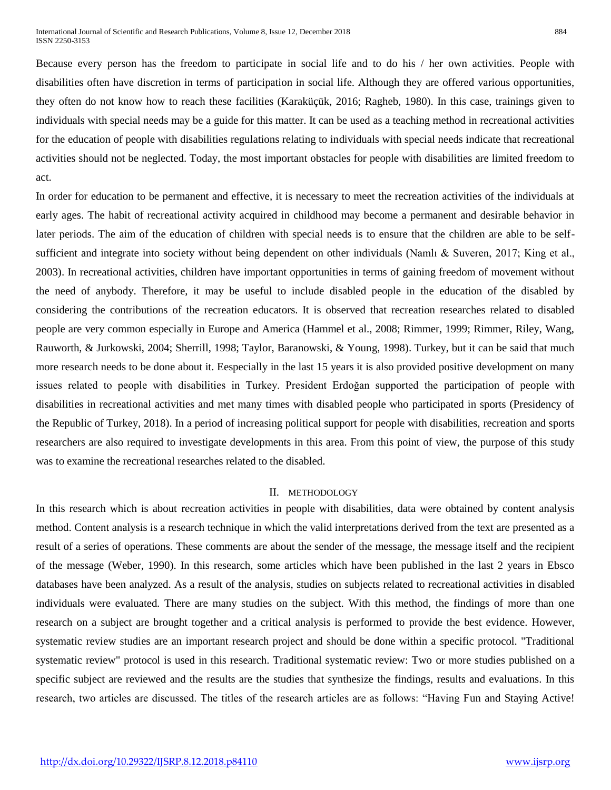Because every person has the freedom to participate in social life and to do his / her own activities. People with disabilities often have discretion in terms of participation in social life. Although they are offered various opportunities, they often do not know how to reach these facilities (Karaküçük, 2016; Ragheb, 1980). In this case, trainings given to individuals with special needs may be a guide for this matter. It can be used as a teaching method in recreational activities for the education of people with disabilities regulations relating to individuals with special needs indicate that recreational activities should not be neglected. Today, the most important obstacles for people with disabilities are limited freedom to act.

In order for education to be permanent and effective, it is necessary to meet the recreation activities of the individuals at early ages. The habit of recreational activity acquired in childhood may become a permanent and desirable behavior in later periods. The aim of the education of children with special needs is to ensure that the children are able to be selfsufficient and integrate into society without being dependent on other individuals (Namlı & Suveren, 2017; King et al., 2003). In recreational activities, children have important opportunities in terms of gaining freedom of movement without the need of anybody. Therefore, it may be useful to include disabled people in the education of the disabled by considering the contributions of the recreation educators. It is observed that recreation researches related to disabled people are very common especially in Europe and America (Hammel et al., 2008; Rimmer, 1999; Rimmer, Riley, Wang, Rauworth, & Jurkowski, 2004; Sherrill, 1998; Taylor, Baranowski, & Young, 1998). Turkey, but it can be said that much more research needs to be done about it. Eespecially in the last 15 years it is also provided positive development on many issues related to people with disabilities in Turkey. President Erdoğan supported the participation of people with disabilities in recreational activities and met many times with disabled people who participated in sports (Presidency of the Republic of Turkey, 2018). In a period of increasing political support for people with disabilities, recreation and sports researchers are also required to investigate developments in this area. From this point of view, the purpose of this study was to examine the recreational researches related to the disabled.

#### II. METHODOLOGY

In this research which is about recreation activities in people with disabilities, data were obtained by content analysis method. Content analysis is a research technique in which the valid interpretations derived from the text are presented as a result of a series of operations. These comments are about the sender of the message, the message itself and the recipient of the message (Weber, 1990). In this research, some articles which have been published in the last 2 years in Ebsco databases have been analyzed. As a result of the analysis, studies on subjects related to recreational activities in disabled individuals were evaluated. There are many studies on the subject. With this method, the findings of more than one research on a subject are brought together and a critical analysis is performed to provide the best evidence. However, systematic review studies are an important research project and should be done within a specific protocol. "Traditional systematic review" protocol is used in this research. Traditional systematic review: Two or more studies published on a specific subject are reviewed and the results are the studies that synthesize the findings, results and evaluations. In this research, two articles are discussed. The titles of the research articles are as follows: "Having Fun and Staying Active!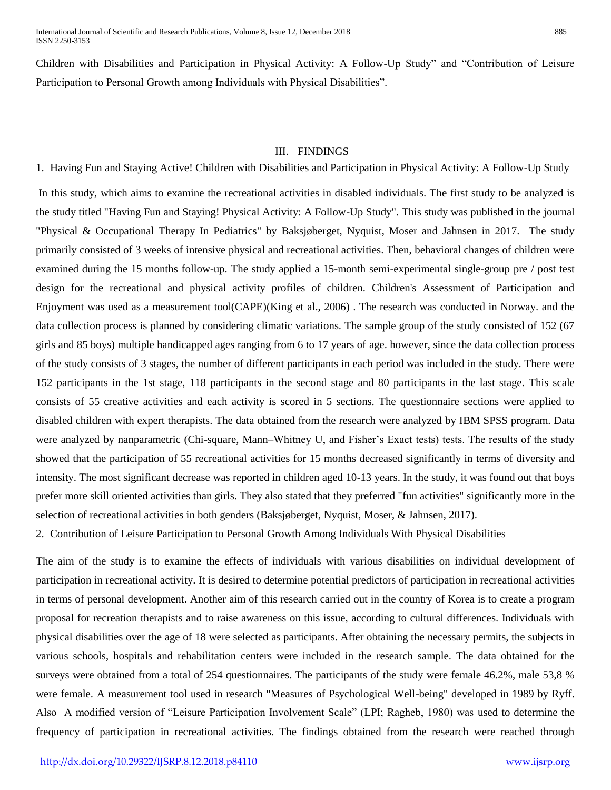Children with Disabilities and Participation in Physical Activity: A Follow-Up Study" and "Contribution of Leisure Participation to Personal Growth among Individuals with Physical Disabilities".

### III. FINDINGS

1. Having Fun and Staying Active! Children with Disabilities and Participation in Physical Activity: A Follow-Up Study In this study, which aims to examine the recreational activities in disabled individuals. The first study to be analyzed is the study titled "Having Fun and Staying! Physical Activity: A Follow-Up Study". This study was published in the journal "Physical & Occupational Therapy In Pediatrics" by Baksjøberget, Nyquist, Moser and Jahnsen in 2017. The study primarily consisted of 3 weeks of intensive physical and recreational activities. Then, behavioral changes of children were examined during the 15 months follow-up. The study applied a 15-month semi-experimental single-group pre / post test design for the recreational and physical activity profiles of children. Children's Assessment of Participation and Enjoyment was used as a measurement tool(CAPE)(King et al., 2006) . The research was conducted in Norway. and the data collection process is planned by considering climatic variations. The sample group of the study consisted of 152 (67 girls and 85 boys) multiple handicapped ages ranging from 6 to 17 years of age. however, since the data collection process of the study consists of 3 stages, the number of different participants in each period was included in the study. There were 152 participants in the 1st stage, 118 participants in the second stage and 80 participants in the last stage. This scale consists of 55 creative activities and each activity is scored in 5 sections. The questionnaire sections were applied to disabled children with expert therapists. The data obtained from the research were analyzed by IBM SPSS program. Data were analyzed by nanparametric (Chi-square, Mann–Whitney U, and Fisher's Exact tests) tests. The results of the study showed that the participation of 55 recreational activities for 15 months decreased significantly in terms of diversity and intensity. The most significant decrease was reported in children aged 10-13 years. In the study, it was found out that boys prefer more skill oriented activities than girls. They also stated that they preferred "fun activities" significantly more in the selection of recreational activities in both genders (Baksjøberget, Nyquist, Moser, & Jahnsen, 2017).

2. Contribution of Leisure Participation to Personal Growth Among Individuals With Physical Disabilities

The aim of the study is to examine the effects of individuals with various disabilities on individual development of participation in recreational activity. It is desired to determine potential predictors of participation in recreational activities in terms of personal development. Another aim of this research carried out in the country of Korea is to create a program proposal for recreation therapists and to raise awareness on this issue, according to cultural differences. Individuals with physical disabilities over the age of 18 were selected as participants. After obtaining the necessary permits, the subjects in various schools, hospitals and rehabilitation centers were included in the research sample. The data obtained for the surveys were obtained from a total of 254 questionnaires. The participants of the study were female 46.2%, male 53,8 % were female. A measurement tool used in research "Measures of Psychological Well-being" developed in 1989 by Ryff. Also A modified version of "Leisure Participation Involvement Scale" (LPI; Ragheb, 1980) was used to determine the frequency of participation in recreational activities. The findings obtained from the research were reached through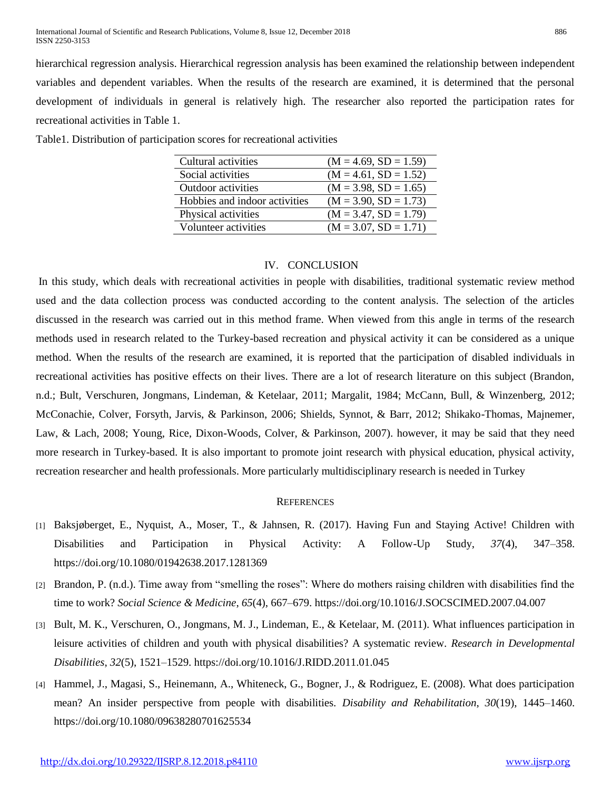hierarchical regression analysis. Hierarchical regression analysis has been examined the relationship between independent variables and dependent variables. When the results of the research are examined, it is determined that the personal development of individuals in general is relatively high. The researcher also reported the participation rates for recreational activities in Table 1.

| Cultural activities           | $(M = 4.69, SD = 1.59)$ |
|-------------------------------|-------------------------|
| Social activities             | $(M = 4.61, SD = 1.52)$ |
| <b>Outdoor</b> activities     | $(M = 3.98, SD = 1.65)$ |
| Hobbies and indoor activities | $(M = 3.90, SD = 1.73)$ |
| Physical activities           | $(M = 3.47, SD = 1.79)$ |
| Volunteer activities          | $(M = 3.07, SD = 1.71)$ |

Table1. Distribution of participation scores for recreational activities

### IV. CONCLUSION

In this study, which deals with recreational activities in people with disabilities, traditional systematic review method used and the data collection process was conducted according to the content analysis. The selection of the articles discussed in the research was carried out in this method frame. When viewed from this angle in terms of the research methods used in research related to the Turkey-based recreation and physical activity it can be considered as a unique method. When the results of the research are examined, it is reported that the participation of disabled individuals in recreational activities has positive effects on their lives. There are a lot of research literature on this subject (Brandon, n.d.; Bult, Verschuren, Jongmans, Lindeman, & Ketelaar, 2011; Margalit, 1984; McCann, Bull, & Winzenberg, 2012; McConachie, Colver, Forsyth, Jarvis, & Parkinson, 2006; Shields, Synnot, & Barr, 2012; Shikako-Thomas, Majnemer, Law, & Lach, 2008; Young, Rice, Dixon-Woods, Colver, & Parkinson, 2007). however, it may be said that they need more research in Turkey-based. It is also important to promote joint research with physical education, physical activity, recreation researcher and health professionals. More particularly multidisciplinary research is needed in Turkey

#### **REFERENCES**

- [1] Baksjøberget, E., Nyquist, A., Moser, T., & Jahnsen, R. (2017). Having Fun and Staying Active! Children with Disabilities and Participation in Physical Activity: A Follow-Up Study, *37*(4), 347–358. https://doi.org/10.1080/01942638.2017.1281369
- [2] Brandon, P. (n.d.). Time away from "smelling the roses": Where do mothers raising children with disabilities find the time to work? *Social Science & Medicine*, *65*(4), 667–679. https://doi.org/10.1016/J.SOCSCIMED.2007.04.007
- [3] Bult, M. K., Verschuren, O., Jongmans, M. J., Lindeman, E., & Ketelaar, M. (2011). What influences participation in leisure activities of children and youth with physical disabilities? A systematic review. *Research in Developmental Disabilities*, *32*(5), 1521–1529. https://doi.org/10.1016/J.RIDD.2011.01.045
- [4] Hammel, J., Magasi, S., Heinemann, A., Whiteneck, G., Bogner, J., & Rodriguez, E. (2008). What does participation mean? An insider perspective from people with disabilities. *Disability and Rehabilitation*, *30*(19), 1445–1460. https://doi.org/10.1080/09638280701625534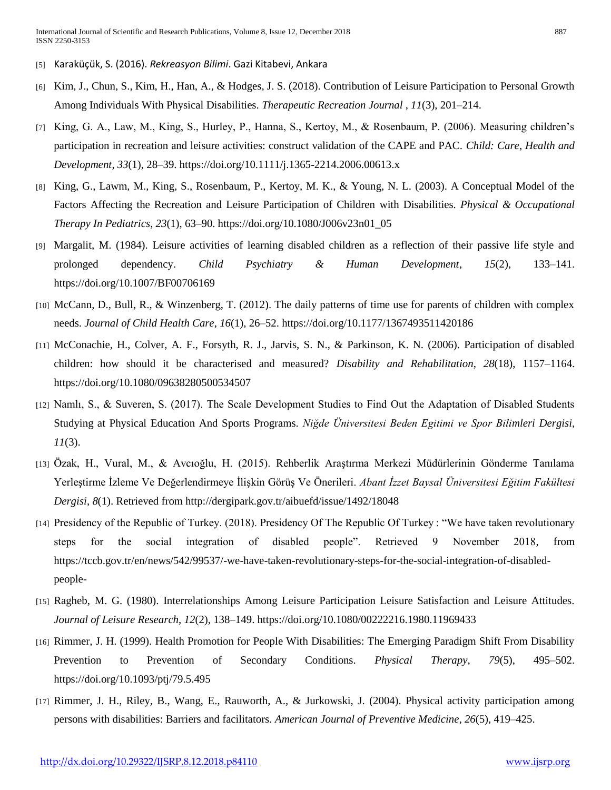- [5] Karaküçük, S. (2016). *Rekreasyon Bilimi*. Gazi Kitabevi, Ankara
- [6] Kim, J., Chun, S., Kim, H., Han, A., & Hodges, J. S. (2018). Contribution of Leisure Participation to Personal Growth Among Individuals With Physical Disabilities. *Therapeutic Recreation Journal* , *11*(3), 201–214.
- [7] King, G. A., Law, M., King, S., Hurley, P., Hanna, S., Kertoy, M., & Rosenbaum, P. (2006). Measuring children's participation in recreation and leisure activities: construct validation of the CAPE and PAC. *Child: Care, Health and Development*, *33*(1), 28–39. https://doi.org/10.1111/j.1365-2214.2006.00613.x
- [8] King, G., Lawm, M., King, S., Rosenbaum, P., Kertoy, M. K., & Young, N. L. (2003). A Conceptual Model of the Factors Affecting the Recreation and Leisure Participation of Children with Disabilities. *Physical & Occupational Therapy In Pediatrics*, *23*(1), 63–90. https://doi.org/10.1080/J006v23n01\_05
- [9] Margalit, M. (1984). Leisure activities of learning disabled children as a reflection of their passive life style and prolonged dependency. *Child Psychiatry & Human Development*, *15*(2), 133–141. https://doi.org/10.1007/BF00706169
- [10] McCann, D., Bull, R., & Winzenberg, T. (2012). The daily patterns of time use for parents of children with complex needs. *Journal of Child Health Care*, *16*(1), 26–52. https://doi.org/10.1177/1367493511420186
- [11] McConachie, H., Colver, A. F., Forsyth, R. J., Jarvis, S. N., & Parkinson, K. N. (2006). Participation of disabled children: how should it be characterised and measured? *Disability and Rehabilitation*, *28*(18), 1157–1164. https://doi.org/10.1080/09638280500534507
- [12] Namlı, S., & Suveren, S. (2017). The Scale Development Studies to Find Out the Adaptation of Disabled Students Studying at Physical Education And Sports Programs. *Niğde Üniversitesi Beden Egitimi ve Spor Bilimleri Dergisi*, *11*(3).
- [13] Özak, H., Vural, M., & Avcıoğlu, H. (2015). Rehberlik Araştırma Merkezi Müdürlerinin Gönderme Tanılama Yerleştirme İzleme Ve Değerlendirmeye İlişkin Görüş Ve Önerileri. *Abant İzzet Baysal Üniversitesi Eğitim Fakültesi Dergisi*, *8*(1). Retrieved from http://dergipark.gov.tr/aibuefd/issue/1492/18048
- [14] Presidency of the Republic of Turkey. (2018). Presidency Of The Republic Of Turkey : "We have taken revolutionary steps for the social integration of disabled people". Retrieved 9 November 2018, from https://tccb.gov.tr/en/news/542/99537/-we-have-taken-revolutionary-steps-for-the-social-integration-of-disabledpeople-
- [15] Ragheb, M. G. (1980). Interrelationships Among Leisure Participation Leisure Satisfaction and Leisure Attitudes. *Journal of Leisure Research*, *12*(2), 138–149. https://doi.org/10.1080/00222216.1980.11969433
- [16] Rimmer, J. H. (1999). Health Promotion for People With Disabilities: The Emerging Paradigm Shift From Disability Prevention to Prevention of Secondary Conditions. *Physical Therapy*, *79*(5), 495–502. https://doi.org/10.1093/ptj/79.5.495
- [17] Rimmer, J. H., Riley, B., Wang, E., Rauworth, A., & Jurkowski, J. (2004). Physical activity participation among persons with disabilities: Barriers and facilitators. *American Journal of Preventive Medicine*, *26*(5), 419–425.